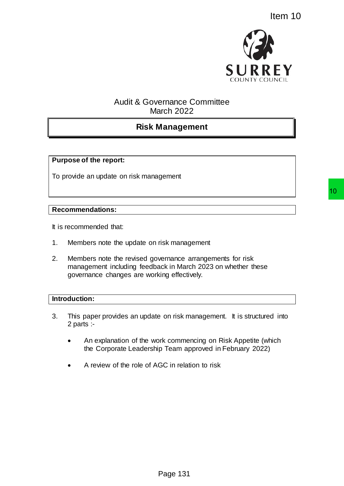

# Audit & Governance Committee March 2022

# **Risk Management**

## **Purpose of the report:**

To provide an update on risk management

#### **Recommendations:**

It is recommended that:

- 1. Members note the update on risk management
- 2. Members note the revised governance arrangements for risk management including feedback in March 2023 on whether these governance changes are working effectively.

#### **Introduction:**

- 3. This paper provides an update on risk management. It is structured into 2 parts :-
	- An explanation of the work commencing on Risk Appetite (which the Corporate Leadership Team approved in February 2022)
	- A review of the role of AGC in relation to risk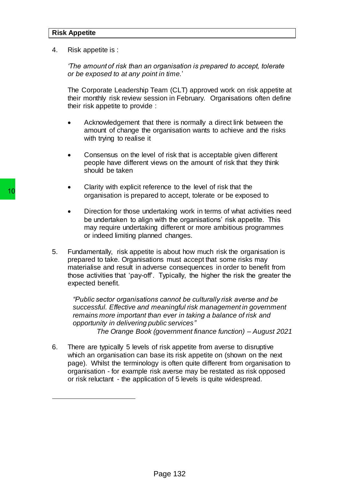#### **Risk Appetite**

4. Risk appetite is :

*'The amount of risk than an organisation is prepared to accept, tolerate or be exposed to at any point in time.*'

The Corporate Leadership Team (CLT) approved work on risk appetite at their monthly risk review session in February. Organisations often define their risk appetite to provide :

- Acknowledgement that there is normally a direct link between the amount of change the organisation wants to achieve and the risks with trying to realise it
- Consensus on the level of risk that is acceptable given different people have different views on the amount of risk that they think should be taken
- Clarity with explicit reference to the level of risk that the organisation is prepared to accept, tolerate or be exposed to
- Direction for those undertaking work in terms of what activities need be undertaken to align with the organisations' risk appetite. This may require undertaking different or more ambitious programmes or indeed limiting planned changes.
- 5. Fundamentally, risk appetite is about how much risk the organisation is prepared to take. Organisations must accept that some risks may materialise and result in adverse consequences in order to benefit from those activities that 'pay-off'. Typically, the higher the risk the greater the expected benefit.

*"Public sector organisations cannot be culturally risk averse and be successful. Effective and meaningful risk management in government remains more important than ever in taking a balance of risk and opportunity in delivering public services" The Orange Book (government finance function) – August 2021*

6. There are typically 5 levels of risk appetite from averse to disruptive which an organisation can base its risk appetite on (shown on the next page). Whilst the terminology is often quite different from organisation to organisation - for example risk averse may be restated as risk opposed or risk reluctant - the application of 5 levels is quite widespread. Fraction of the model of the emploined to accept or the magnisation is prepared to accept or indeed limiting be undertaking different or indeed limiting planned change of the may require undertaking different or indeed lim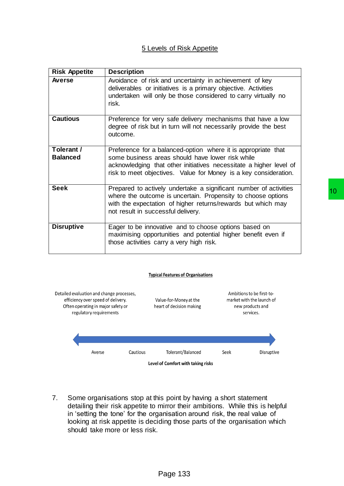#### 5 Levels of Risk Appetite

| <b>Risk Appetite</b>          | <b>Description</b>                                                                                                                                                                                                                                          |
|-------------------------------|-------------------------------------------------------------------------------------------------------------------------------------------------------------------------------------------------------------------------------------------------------------|
| <b>Averse</b>                 | Avoidance of risk and uncertainty in achievement of key<br>deliverables or initiatives is a primary objective. Activities<br>undertaken will only be those considered to carry virtually no<br>risk.                                                        |
| <b>Cautious</b>               | Preference for very safe delivery mechanisms that have a low<br>degree of risk but in turn will not necessarily provide the best<br>outcome.                                                                                                                |
| Tolerant /<br><b>Balanced</b> | Preference for a balanced-option where it is appropriate that<br>some business areas should have lower risk while<br>acknowledging that other initiatives necessitate a higher level of<br>risk to meet objectives. Value for Money is a key consideration. |
| <b>Seek</b>                   | Prepared to actively undertake a significant number of activities<br>where the outcome is uncertain. Propensity to choose options<br>with the expectation of higher returns/rewards but which may<br>not result in successful delivery.                     |
| <b>Disruptive</b>             | Eager to be innovative and to choose options based on<br>maximising opportunities and potential higher benefit even if<br>those activities carry a very high risk.                                                                                          |



7. Some organisations stop at this point by having a short statement detailing their risk appetite to mirror their ambitions. While this is helpful in 'setting the tone' for the organisation around risk, the real value of looking at risk appetite is deciding those parts of the organisation which should take more or less risk.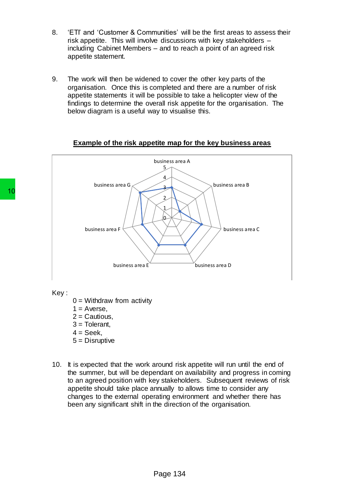- 8. 'ETI' and 'Customer & Communities' will be the first areas to assess their risk appetite. This will involve discussions with key stakeholders – including Cabinet Members – and to reach a point of an agreed risk appetite statement.
- 9. The work will then be widened to cover the other key parts of the organisation. Once this is completed and there are a number of risk appetite statements it will be possible to take a helicopter view of the findings to determine the overall risk appetite for the organisation. The below diagram is a useful way to visualise this.



#### **Example of the risk appetite map for the key business areas**

Key :

- $0 =$  Withdraw from activity
- $1 =$  Averse,
- $2 =$  Cautious,
- $3$  = Tolerant,
- $4 =$  Seek,
- 5 = Disruptive
- 10. It is expected that the work around risk appetite will run until the end of the summer, but will be dependant on availability and progress in coming to an agreed position with key stakeholders. Subsequent reviews of risk appetite should take place annually to allows time to consider any changes to the external operating environment and whether there has been any significant shift in the direction of the organisation.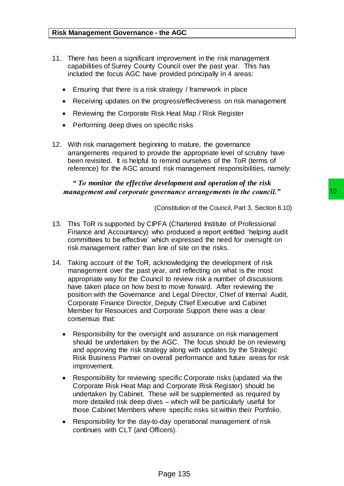- 11. There has been a significant improvement in the risk management capabilities of Surrey County Council over the past year. This has included the focus AGC have provided principally in 4 areas:
	- Ensuring that there is a risk strategy / framework in place
	- Receiving updates on the progress/effectiveness on risk management
	- Reviewing the Corporate Risk Heat Map / Risk Register
	- Performing deep dives on specific risks
- 12. With risk management beginning to mature, the governance arrangements required to provide the appropriate level of scrutiny have been revisited. It is helpful to remind ourselves of the ToR (terms of reference) for the AGC around risk management responsibilities, namely:

### *" To monitor the effective development and operation of the risk management and corporate governance arrangements in the council."*

(Constitution of the Council, Part 3, Section 6.10)

- 13. This ToR is supported by CIPFA (Chartered Institute of Professional Finance and Accountancy) who produced a report entitled 'helping audit committees to be effective' which expressed the need for oversight on risk management rather than line of site on the risks.
- 14. Taking account of the ToR, acknowledging the development of risk management over the past year, and reflecting on what is the most appropriate way for the Council to review risk a number of discussions have taken place on how best to move forward. After reviewing the position with the Governance and Legal Director, Chief of Internal Audit, Corporate Finance Director, Deputy Chief Executive and Cabinet Member for Resources and Corporate Support there was a clear consensus that: **Example arrangements in the council."**<br> **Constitution of the Council, Part 3, Section 6.10)**<br>
FA (Chartered Institute of Professional<br>
no produced a report entitled 'helping audit<br>
inic of site on the risks.<br>
Exknowledgin
	- Responsibility for the oversight and assurance on risk management should be undertaken by the AGC. The focus should be on reviewing and approving the risk strategy along with updates by the Strategic Risk Business Partner on overall performance and future areas for risk improvement.
	- Responsibility for reviewing specific Corporate risks (updated via the Corporate Risk Heat Map and Corporate Risk Register) should be undertaken by Cabinet. These will be supplemented as required by more detailed risk deep dives – which will be particularly useful for those Cabinet Members where specific risks sit within their Portfolio.
	- Responsibility for the day-to-day operational management of risk continues with CLT (and Officers).